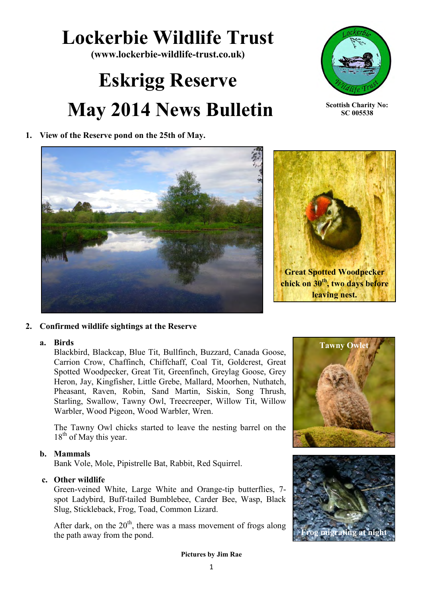# **Lockerbie Wildlife Trust**

**(www.lockerbie-wildlife-trust.co.uk)** 

# **Eskrigg Reserve May 2014 News Bulletin**



**Scottish Charity No: SC 005538**

**1. View of the Reserve pond on the 25th of May.**





# **2. Confirmed wildlife sightings at the Reserve**

# **a. Birds**

Blackbird, Blackcap, Blue Tit, Bullfinch, Buzzard, Canada Goose, Carrion Crow, Chaffinch, Chiffchaff, Coal Tit, Goldcrest, Great Spotted Woodpecker, Great Tit, Greenfinch, Greylag Goose, Grey Heron, Jay, Kingfisher, Little Grebe, Mallard, Moorhen, Nuthatch, Pheasant, Raven, Robin, Sand Martin, Siskin, Song Thrush, Starling, Swallow, Tawny Owl, Treecreeper, Willow Tit, Willow Warbler, Wood Pigeon, Wood Warbler, Wren.

The Tawny Owl chicks started to leave the nesting barrel on the  $18<sup>th</sup>$  of May this year.

# **b. Mammals**

Bank Vole, Mole, Pipistrelle Bat, Rabbit, Red Squirrel.

# **c. Other wildlife**

Green-veined White, Large White and Orange-tip butterflies, 7 spot Ladybird, Buff-tailed Bumblebee, Carder Bee, Wasp, Black Slug, Stickleback, Frog, Toad, Common Lizard.

After dark, on the  $20<sup>th</sup>$ , there was a mass movement of frogs along the path away from the pond.





**Pictures by Jim Rae**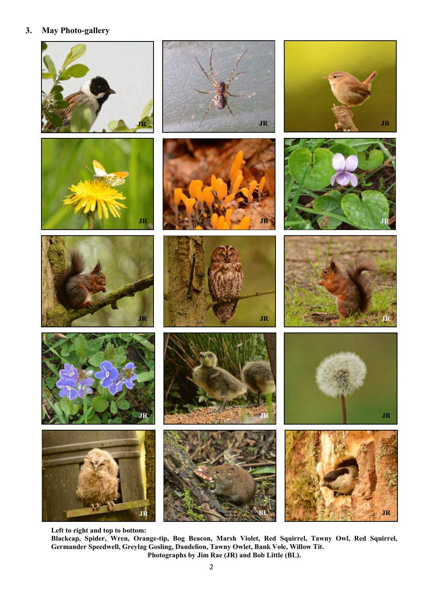#### **3. May Photo-gallery**



















**JR**

**JR**



**JR**

**Left to right and top to bottom:** 

**JR JR**

**Blackcap, Spider, Wren, Orange-tip, Bog Beacon, Marsh Violet, Red Squirrel, Tawny Owl, Red Squirrel, Germander Speedwell, Greylag Gosling, Dandelion, Tawny Owlet, Bank Vole, Willow Tit. Photographs by Jim Rae (JR) and Bob Little (BL).**

**BL**

**JR**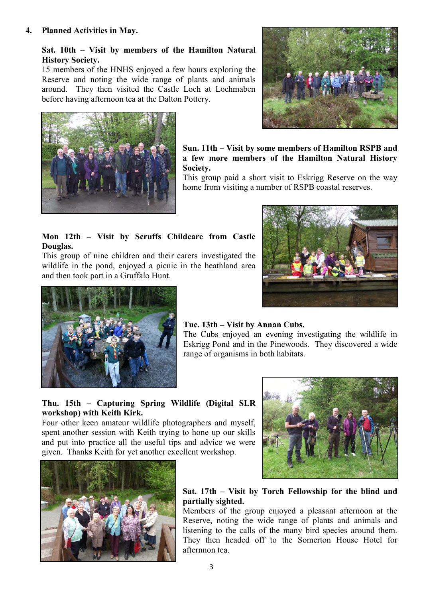# **Sat. 10th – Visit by members of the Hamilton Natural History Society.**

15 members of the HNHS enjoyed a few hours exploring the Reserve and noting the wide range of plants and animals around. They then visited the Castle Loch at Lochmaben before having afternoon tea at the Dalton Pottery.



**Sun. 11th – Visit by some members of Hamilton RSPB and a few more members of the Hamilton Natural History Society.**

This group paid a short visit to Eskrigg Reserve on the way home from visiting a number of RSPB coastal reserves.

# **Mon 12th – Visit by Scruffs Childcare from Castle Douglas.**

This group of nine children and their carers investigated the wildlife in the pond, enjoyed a picnic in the heathland area and then took part in a Gruffalo Hunt.





# **Tue. 13th – Visit by Annan Cubs.**

The Cubs enjoyed an evening investigating the wildlife in Eskrigg Pond and in the Pinewoods. They discovered a wide range of organisms in both habitats.

# **Thu. 15th – Capturing Spring Wildlife (Digital SLR workshop) with Keith Kirk.**

Four other keen amateur wildlife photographers and myself, spent another session with Keith trying to hone up our skills and put into practice all the useful tips and advice we were given. Thanks Keith for yet another excellent workshop.





# **Sat. 17th – Visit by Torch Fellowship for the blind and partially sighted.**

Members of the group enjoyed a pleasant afternoon at the Reserve, noting the wide range of plants and animals and listening to the calls of the many bird species around them. They then headed off to the Somerton House Hotel for afternnon tea.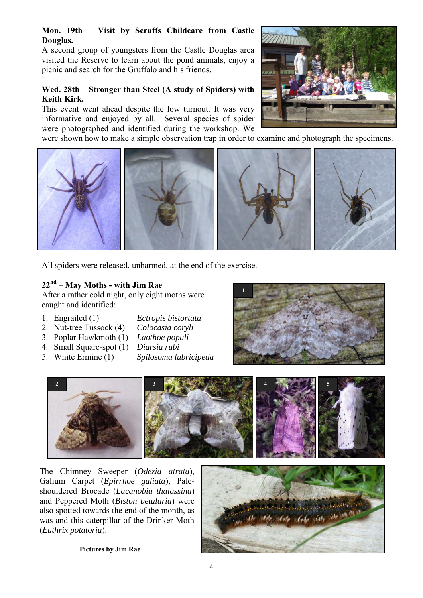#### **Mon. 19th – Visit by Scruffs Childcare from Castle Douglas.**

A second group of youngsters from the Castle Douglas area visited the Reserve to learn about the pond animals, enjoy a picnic and search for the Gruffalo and his friends.

#### **Wed. 28th – Stronger than Steel (A study of Spiders) with Keith Kirk.**

This event went ahead despite the low turnout. It was very informative and enjoyed by all. Several species of spider were photographed and identified during the workshop. We



were shown how to make a simple observation trap in order to examine and photograph the specimens.



All spiders were released, unharmed, at the end of the exercise.

# **22nd – May Moths - with Jim Rae**

After a rather cold night, only eight moths were caught and identified:

- 1. Engrailed (1) *Ectropis bistortata*
- 2. Nut-tree Tussock (4) *Colocasia coryli*
- 3. Poplar Hawkmoth (1) *Laothoe populi*
- 4. Small Square-spot (1) *Diarsia rubi*
- 
- 
- 
- 5. White Ermine (1) *Spilosoma lubricipeda*





The Chimney Sweeper (*Odezia atrata*), Galium Carpet (*Epirrhoe galiata*), Paleshouldered Brocade (*Lacanobia thalassina*) and Peppered Moth (*Biston betularia*) were also spotted towards the end of the month, as was and this caterpillar of the Drinker Moth (*Euthrix potatoria*).



**Pictures by Jim Rae**